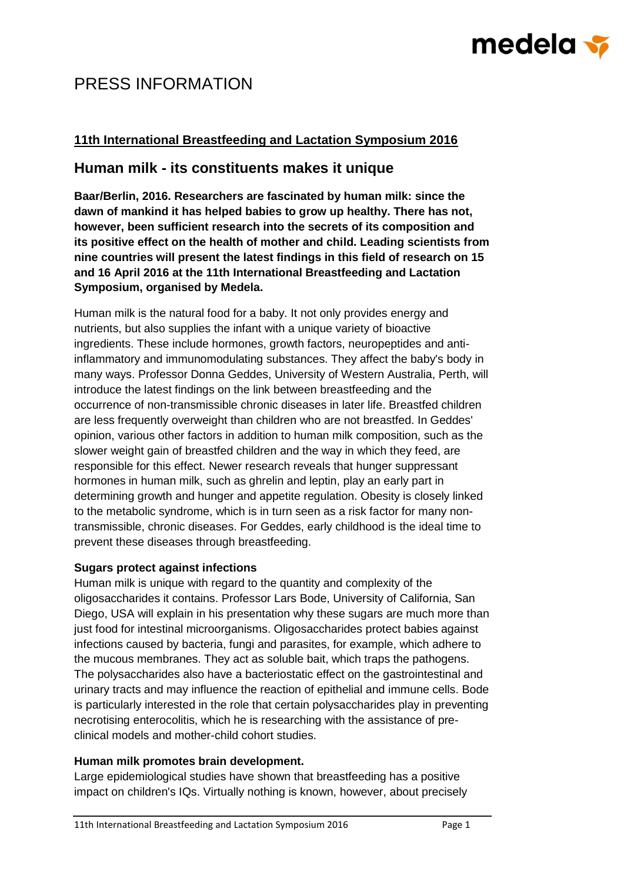# medela <del>v</del>

# PRESS INFORMATION

## **11th International Breastfeeding and Lactation Symposium 2016**

# **Human milk - its constituents makes it unique**

**Baar/Berlin, 2016. Researchers are fascinated by human milk: since the dawn of mankind it has helped babies to grow up healthy. There has not, however, been sufficient research into the secrets of its composition and its positive effect on the health of mother and child. Leading scientists from nine countries will present the latest findings in this field of research on 15 and 16 April 2016 at the 11th International Breastfeeding and Lactation Symposium, organised by Medela.**

Human milk is the natural food for a baby. It not only provides energy and nutrients, but also supplies the infant with a unique variety of bioactive ingredients. These include hormones, growth factors, neuropeptides and antiinflammatory and immunomodulating substances. They affect the baby's body in many ways. Professor Donna Geddes, University of Western Australia, Perth, will introduce the latest findings on the link between breastfeeding and the occurrence of non-transmissible chronic diseases in later life. Breastfed children are less frequently overweight than children who are not breastfed. In Geddes' opinion, various other factors in addition to human milk composition, such as the slower weight gain of breastfed children and the way in which they feed, are responsible for this effect. Newer research reveals that hunger suppressant hormones in human milk, such as ghrelin and leptin, play an early part in determining growth and hunger and appetite regulation. Obesity is closely linked to the metabolic syndrome, which is in turn seen as a risk factor for many nontransmissible, chronic diseases. For Geddes, early childhood is the ideal time to prevent these diseases through breastfeeding.

### **Sugars protect against infections**

Human milk is unique with regard to the quantity and complexity of the oligosaccharides it contains. Professor Lars Bode, University of California, San Diego, USA will explain in his presentation why these sugars are much more than just food for intestinal microorganisms. Oligosaccharides protect babies against infections caused by bacteria, fungi and parasites, for example, which adhere to the mucous membranes. They act as soluble bait, which traps the pathogens. The polysaccharides also have a bacteriostatic effect on the gastrointestinal and urinary tracts and may influence the reaction of epithelial and immune cells. Bode is particularly interested in the role that certain polysaccharides play in preventing necrotising enterocolitis, which he is researching with the assistance of preclinical models and mother-child cohort studies.

### **Human milk promotes brain development.**

Large epidemiological studies have shown that breastfeeding has a positive impact on children's IQs. Virtually nothing is known, however, about precisely